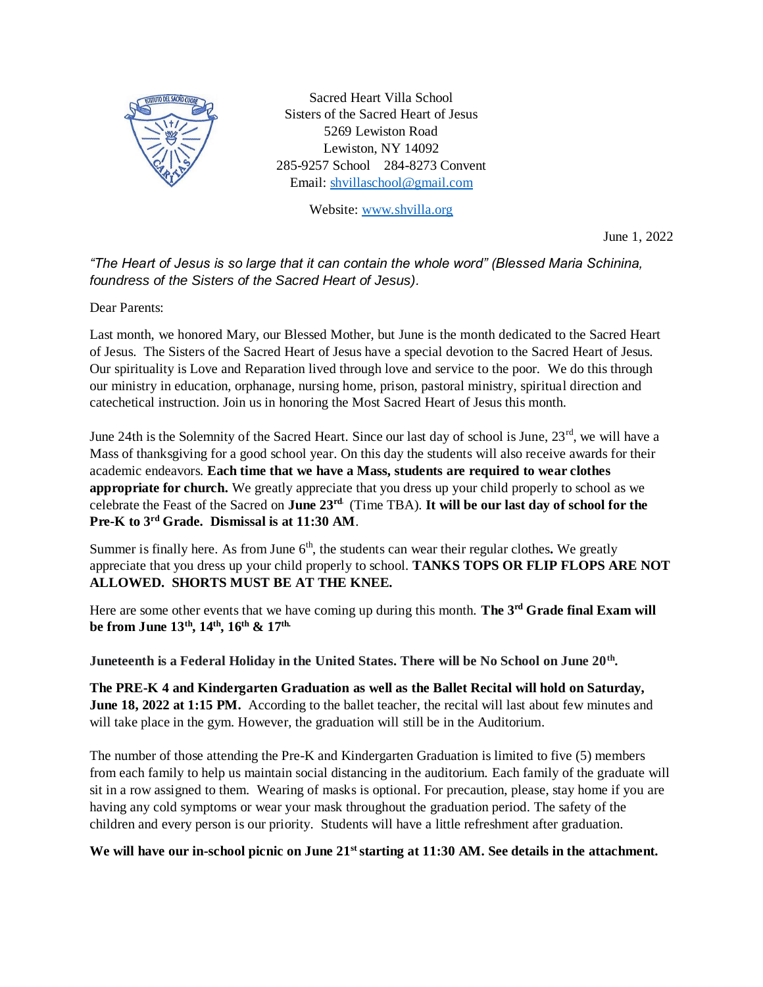

Sacred Heart Villa School Sisters of the Sacred Heart of Jesus 5269 Lewiston Road Lewiston, NY 14092 285-9257 School 284-8273 Convent Email[: shvillaschool@gmail.com](mailto:shvillaschool@gmail.com)

Website: [www.shvilla.org](http://www.shvilla.org/)

June 1, 2022

*"The Heart of Jesus is so large that it can contain the whole word" (Blessed Maria Schinina, foundress of the Sisters of the Sacred Heart of Jesus).*

Dear Parents:

Last month, we honored Mary, our Blessed Mother, but June is the month dedicated to the Sacred Heart of Jesus. The Sisters of the Sacred Heart of Jesus have a special devotion to the Sacred Heart of Jesus. Our spirituality is Love and Reparation lived through love and service to the poor. We do this through our ministry in education, orphanage, nursing home, prison, pastoral ministry, spiritual direction and catechetical instruction. Join us in honoring the Most Sacred Heart of Jesus this month.

June 24th is the Solemnity of the Sacred Heart. Since our last day of school is June,  $23^{\text{rd}}$ , we will have a Mass of thanksgiving for a good school year. On this day the students will also receive awards for their academic endeavors. **Each time that we have a Mass, students are required to wear clothes appropriate for church.** We greatly appreciate that you dress up your child properly to school as we celebrate the Feast of the Sacred on **June 23rd**. (Time TBA). **It will be our last day of school for the Pre-K to 3rd Grade. Dismissal is at 11:30 AM**.

Summer is finally here. As from June  $6<sup>th</sup>$ , the students can wear their regular clothes. We greatly appreciate that you dress up your child properly to school. **TANKS TOPS OR FLIP FLOPS ARE NOT ALLOWED. SHORTS MUST BE AT THE KNEE.** 

Here are some other events that we have coming up during this month. **The 3rd Grade final Exam will be from June 13th, 14th, 16th & 17th.** 

**Juneteenth is a Federal Holiday in the United States. There will be No School on June 20th .**

**The PRE-K 4 and Kindergarten Graduation as well as the Ballet Recital will hold on Saturday, June 18, 2022 at 1:15 PM.** According to the ballet teacher, the recital will last about few minutes and will take place in the gym. However, the graduation will still be in the Auditorium.

The number of those attending the Pre-K and Kindergarten Graduation is limited to five (5) members from each family to help us maintain social distancing in the auditorium. Each family of the graduate will sit in a row assigned to them. Wearing of masks is optional. For precaution, please, stay home if you are having any cold symptoms or wear your mask throughout the graduation period. The safety of the children and every person is our priority. Students will have a little refreshment after graduation.

We will have our in-school picnic on June 21<sup>st</sup> starting at 11:30 AM. See details in the attachment.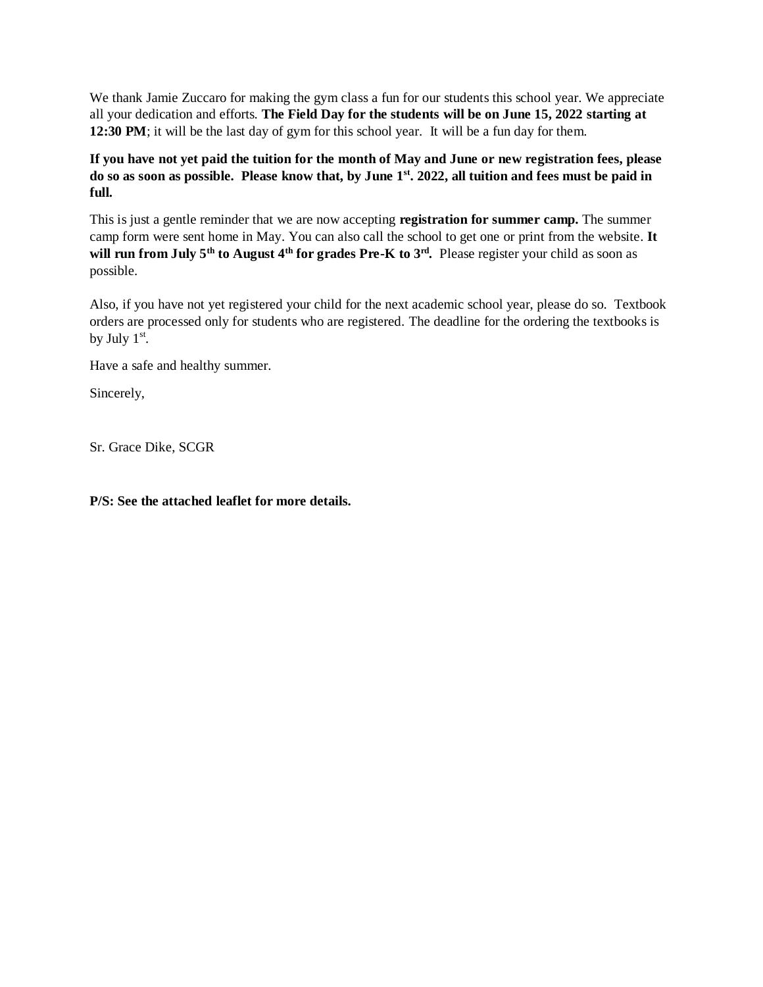We thank Jamie Zuccaro for making the gym class a fun for our students this school year. We appreciate all your dedication and efforts. **The Field Day for the students will be on June 15, 2022 starting at 12:30 PM**; it will be the last day of gym for this school year. It will be a fun day for them.

**If you have not yet paid the tuition for the month of May and June or new registration fees, please do so as soon as possible. Please know that, by June 1 st . 2022, all tuition and fees must be paid in full.**

This is just a gentle reminder that we are now accepting **registration for summer camp.** The summer camp form were sent home in May. You can also call the school to get one or print from the website. **It will run from July 5th to August 4th for grades Pre-K to 3rd .** Please register your child as soon as possible.

Also, if you have not yet registered your child for the next academic school year, please do so. Textbook orders are processed only for students who are registered. The deadline for the ordering the textbooks is by July  $1<sup>st</sup>$ .

Have a safe and healthy summer.

Sincerely,

Sr. Grace Dike, SCGR

**P/S: See the attached leaflet for more details.**